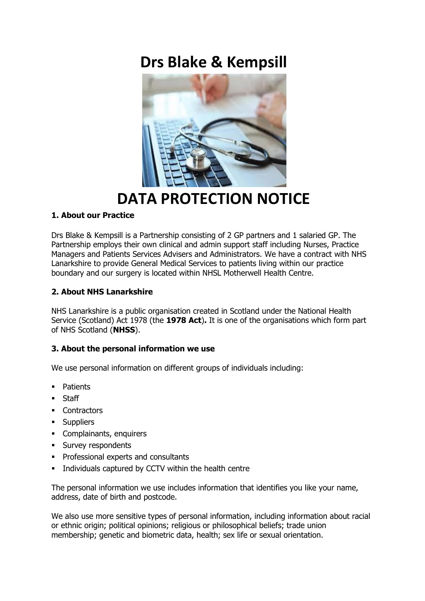# **Drs Blake & Kempsill**



# **DATA PROTECTION NOTICE**

# **1. About our Practice**

Drs Blake & Kempsill is a Partnership consisting of 2 GP partners and 1 salaried GP. The Partnership employs their own clinical and admin support staff including Nurses, Practice Managers and Patients Services Advisers and Administrators. We have a contract with NHS Lanarkshire to provide General Medical Services to patients living within our practice boundary and our surgery is located within NHSL Motherwell Health Centre.

# **2. About NHS Lanarkshire**

NHS Lanarkshire is a public organisation created in Scotland under the National Health Service (Scotland) Act 1978 (the **1978 Act**)**.** It is one of the organisations which form part of NHS Scotland (**NHSS**).

## **3. About the personal information we use**

We use personal information on different groups of individuals including:

- **Patients**
- Staff
- Contractors
- **Suppliers**
- Complainants, enquirers
- **Survey respondents**
- **Professional experts and consultants**
- Individuals captured by CCTV within the health centre

The personal information we use includes information that identifies you like your name, address, date of birth and postcode.

We also use more sensitive types of personal information, including information about racial or ethnic origin; political opinions; religious or philosophical beliefs; trade union membership; genetic and biometric data, health; sex life or sexual orientation.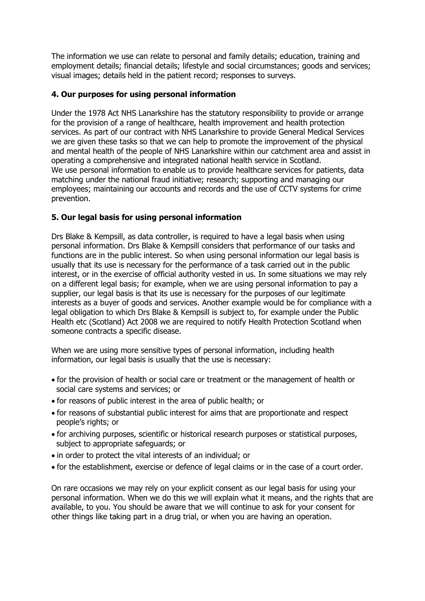The information we use can relate to personal and family details; education, training and employment details; financial details; lifestyle and social circumstances; goods and services; visual images; details held in the patient record; responses to surveys.

## **4. Our purposes for using personal information**

Under the 1978 Act NHS Lanarkshire has the statutory responsibility to provide or arrange for the provision of a range of healthcare, health improvement and health protection services. As part of our contract with NHS Lanarkshire to provide General Medical Services we are given these tasks so that we can help to promote the improvement of the physical and mental health of the people of NHS Lanarkshire within our catchment area and assist in operating a comprehensive and integrated national health service in Scotland. We use personal information to enable us to provide healthcare services for patients, data matching under the national fraud initiative; research; supporting and managing our employees; maintaining our accounts and records and the use of CCTV systems for crime prevention.

## **5. Our legal basis for using personal information**

Drs Blake & Kempsill, as data controller, is required to have a legal basis when using personal information. Drs Blake & Kempsill considers that performance of our tasks and functions are in the public interest. So when using personal information our legal basis is usually that its use is necessary for the performance of a task carried out in the public interest, or in the exercise of official authority vested in us. In some situations we may rely on a different legal basis; for example, when we are using personal information to pay a supplier, our legal basis is that its use is necessary for the purposes of our legitimate interests as a buyer of goods and services. Another example would be for compliance with a legal obligation to which Drs Blake & Kempsill is subject to, for example under the Public Health etc (Scotland) Act 2008 we are required to notify Health Protection Scotland when someone contracts a specific disease.

When we are using more sensitive types of personal information, including health information, our legal basis is usually that the use is necessary:

- for the provision of health or social care or treatment or the management of health or social care systems and services; or
- for reasons of public interest in the area of public health; or
- for reasons of substantial public interest for aims that are proportionate and respect people's rights; or
- for archiving purposes, scientific or historical research purposes or statistical purposes, subject to appropriate safeguards; or
- in order to protect the vital interests of an individual; or
- for the establishment, exercise or defence of legal claims or in the case of a court order.

On rare occasions we may rely on your explicit consent as our legal basis for using your personal information. When we do this we will explain what it means, and the rights that are available, to you. You should be aware that we will continue to ask for your consent for other things like taking part in a drug trial, or when you are having an operation.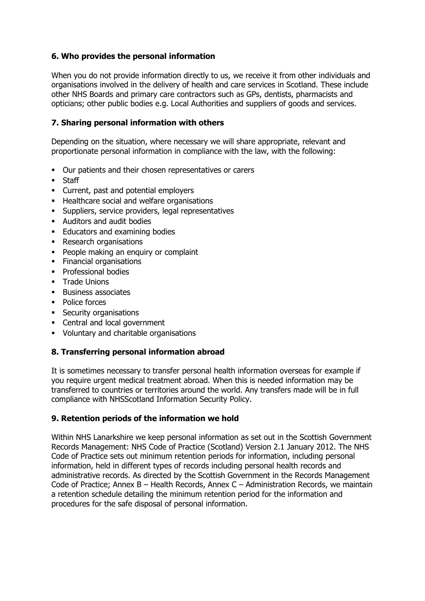# **6. Who provides the personal information**

When you do not provide information directly to us, we receive it from other individuals and organisations involved in the delivery of health and care services in Scotland. These include other NHS Boards and primary care contractors such as GPs, dentists, pharmacists and opticians; other public bodies e.g. Local Authorities and suppliers of goods and services.

## **7. Sharing personal information with others**

Depending on the situation, where necessary we will share appropriate, relevant and proportionate personal information in compliance with the law, with the following:

- Our patients and their chosen representatives or carers
- **Staff**
- Current, past and potential employers
- **Healthcare social and welfare organisations**
- **Suppliers, service providers, legal representatives**
- Auditors and audit bodies
- **Educators and examining bodies**
- Research organisations
- People making an enquiry or complaint
- **Financial organisations**
- **•** Professional bodies
- **Trade Unions**
- **Business associates**
- Police forces
- **Security organisations**
- Central and local government
- Voluntary and charitable organisations

## **8. Transferring personal information abroad**

It is sometimes necessary to transfer personal health information overseas for example if you require urgent medical treatment abroad. When this is needed information may be transferred to countries or territories around the world. Any transfers made will be in full compliance with NHSScotland Information Security Policy.

#### **9. Retention periods of the information we hold**

Within NHS Lanarkshire we keep personal information as set out in the Scottish Government Records Management: NHS Code of Practice (Scotland) Version 2.1 January 2012. The NHS Code of Practice sets out minimum retention periods for information, including personal information, held in different types of records including personal health records and administrative records. As directed by the Scottish Government in the Records Management Code of Practice; Annex B – Health Records, Annex C – Administration Records, we maintain a retention schedule detailing the minimum retention period for the information and procedures for the safe disposal of personal information.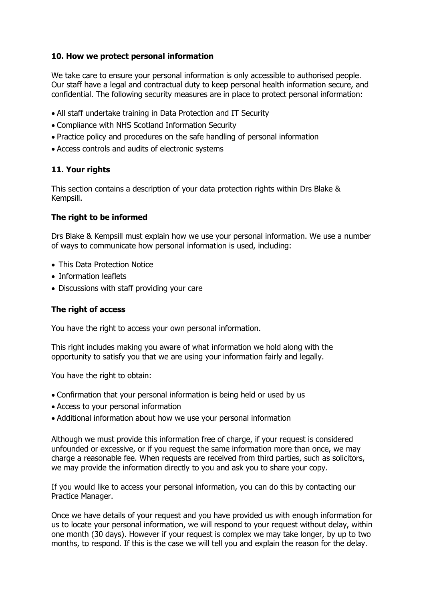## **10. How we protect personal information**

We take care to ensure your personal information is only accessible to authorised people. Our staff have a legal and contractual duty to keep personal health information secure, and confidential. The following security measures are in place to protect personal information:

- All staff undertake training in Data Protection and IT Security
- Compliance with NHS Scotland Information Security
- Practice policy and procedures on the safe handling of personal information
- Access controls and audits of electronic systems

# **11. Your rights**

This section contains a description of your data protection rights within Drs Blake & Kempsill.

# **The right to be informed**

Drs Blake & Kempsill must explain how we use your personal information. We use a number of ways to communicate how personal information is used, including:

- This Data Protection Notice
- Information leaflets
- Discussions with staff providing your care

# **The right of access**

You have the right to access your own personal information.

This right includes making you aware of what information we hold along with the opportunity to satisfy you that we are using your information fairly and legally.

You have the right to obtain:

- Confirmation that your personal information is being held or used by us
- Access to your personal information
- Additional information about how we use your personal information

Although we must provide this information free of charge, if your request is considered unfounded or excessive, or if you request the same information more than once, we may charge a reasonable fee. When requests are received from third parties, such as solicitors, we may provide the information directly to you and ask you to share your copy.

If you would like to access your personal information, you can do this by contacting our Practice Manager.

Once we have details of your request and you have provided us with enough information for us to locate your personal information, we will respond to your request without delay, within one month (30 days). However if your request is complex we may take longer, by up to two months, to respond. If this is the case we will tell you and explain the reason for the delay.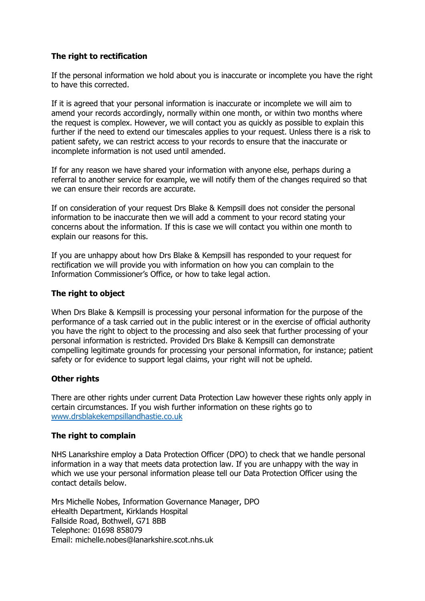# **The right to rectification**

If the personal information we hold about you is inaccurate or incomplete you have the right to have this corrected.

If it is agreed that your personal information is inaccurate or incomplete we will aim to amend your records accordingly, normally within one month, or within two months where the request is complex. However, we will contact you as quickly as possible to explain this further if the need to extend our timescales applies to your request. Unless there is a risk to patient safety, we can restrict access to your records to ensure that the inaccurate or incomplete information is not used until amended.

If for any reason we have shared your information with anyone else, perhaps during a referral to another service for example, we will notify them of the changes required so that we can ensure their records are accurate.

If on consideration of your request Drs Blake & Kempsill does not consider the personal information to be inaccurate then we will add a comment to your record stating your concerns about the information. If this is case we will contact you within one month to explain our reasons for this.

If you are unhappy about how Drs Blake & Kempsill has responded to your request for rectification we will provide you with information on how you can complain to the Information Commissioner's Office, or how to take legal action.

#### **The right to object**

When Drs Blake & Kempsill is processing your personal information for the purpose of the performance of a task carried out in the public interest or in the exercise of official authority you have the right to object to the processing and also seek that further processing of your personal information is restricted. Provided Drs Blake & Kempsill can demonstrate compelling legitimate grounds for processing your personal information, for instance; patient safety or for evidence to support legal claims, your right will not be upheld.

## **Other rights**

There are other rights under current Data Protection Law however these rights only apply in certain circumstances. If you wish further information on these rights go to [www.drsblakekempsillandhastie.co.uk](http://www.drsblakekempsillandhastie.co.uk/)

#### **The right to complain**

NHS Lanarkshire employ a Data Protection Officer (DPO) to check that we handle personal information in a way that meets data protection law. If you are unhappy with the way in which we use your personal information please tell our Data Protection Officer using the contact details below.

Mrs Michelle Nobes, Information Governance Manager, DPO eHealth Department, Kirklands Hospital Fallside Road, Bothwell, G71 8BB Telephone: 01698 858079 Email: michelle.nobes@lanarkshire.scot.nhs.uk